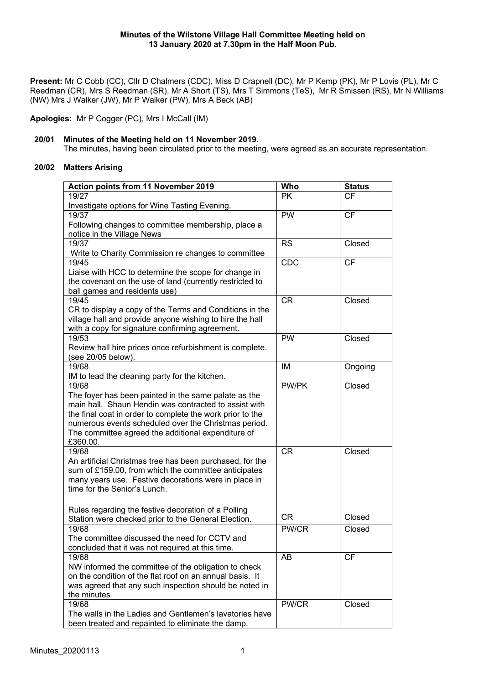**Present:** Mr C Cobb (CC), Cllr D Chalmers (CDC), Miss D Crapnell (DC), Mr P Kemp (PK), Mr P Lovis (PL), Mr C Reedman (CR), Mrs S Reedman (SR), Mr A Short (TS), Mrs T Simmons (TeS), Mr R Smissen (RS), Mr N Williams (NW) Mrs J Walker (JW), Mr P Walker (PW), Mrs A Beck (AB)

**Apologies:** Mr P Cogger (PC), Mrs I McCall (IM)

# **20/01 Minutes of the Meeting held on 11 November 2019.**

The minutes, having been circulated prior to the meeting, were agreed as an accurate representation.

# **20/02 Matters Arising**

| <b>Action points from 11 November 2019</b>                                                                          | Who                    | <b>Status</b> |
|---------------------------------------------------------------------------------------------------------------------|------------------------|---------------|
| 19/27                                                                                                               | <b>PK</b>              | <b>CF</b>     |
| Investigate options for Wine Tasting Evening.                                                                       |                        |               |
| 19/37                                                                                                               | $\overline{\text{PW}}$ | <b>CF</b>     |
| Following changes to committee membership, place a                                                                  |                        |               |
| notice in the Village News                                                                                          |                        |               |
| 19/37                                                                                                               | <b>RS</b>              | Closed        |
| Write to Charity Commission re changes to committee                                                                 |                        |               |
| 19/45                                                                                                               | CDC                    | <b>CF</b>     |
| Liaise with HCC to determine the scope for change in                                                                |                        |               |
| the covenant on the use of land (currently restricted to                                                            |                        |               |
| ball games and residents use)<br>19/45                                                                              |                        |               |
|                                                                                                                     | <b>CR</b>              | Closed        |
| CR to display a copy of the Terms and Conditions in the<br>village hall and provide anyone wishing to hire the hall |                        |               |
| with a copy for signature confirming agreement.                                                                     |                        |               |
| 19/53                                                                                                               | <b>PW</b>              | Closed        |
| Review hall hire prices once refurbishment is complete.                                                             |                        |               |
| (see 20/05 below).                                                                                                  |                        |               |
| 19/68                                                                                                               | IM                     | Ongoing       |
| IM to lead the cleaning party for the kitchen.                                                                      |                        |               |
| 19/68                                                                                                               | <b>PW/PK</b>           | Closed        |
| The foyer has been painted in the same palate as the                                                                |                        |               |
| main hall. Shaun Hendin was contracted to assist with                                                               |                        |               |
| the final coat in order to complete the work prior to the                                                           |                        |               |
| numerous events scheduled over the Christmas period.                                                                |                        |               |
| The committee agreed the additional expenditure of                                                                  |                        |               |
| £360.00.                                                                                                            |                        |               |
| 19/68                                                                                                               | <b>CR</b>              | Closed        |
| An artificial Christmas tree has been purchased, for the                                                            |                        |               |
| sum of £159.00, from which the committee anticipates                                                                |                        |               |
| many years use. Festive decorations were in place in                                                                |                        |               |
| time for the Senior's Lunch.                                                                                        |                        |               |
|                                                                                                                     |                        |               |
| Rules regarding the festive decoration of a Polling                                                                 |                        |               |
| Station were checked prior to the General Election.                                                                 | <b>CR</b>              | Closed        |
| 19/68                                                                                                               | PW/CR                  | Closed        |
| The committee discussed the need for CCTV and                                                                       |                        |               |
| concluded that it was not required at this time.                                                                    |                        |               |
| 19/68                                                                                                               | AB                     | <b>CF</b>     |
| NW informed the committee of the obligation to check                                                                |                        |               |
| on the condition of the flat roof on an annual basis. It                                                            |                        |               |
| was agreed that any such inspection should be noted in                                                              |                        |               |
| the minutes                                                                                                         |                        |               |
| 19/68                                                                                                               | PW/CR                  | Closed        |
| The walls in the Ladies and Gentlemen's lavatories have                                                             |                        |               |
| been treated and repainted to eliminate the damp.                                                                   |                        |               |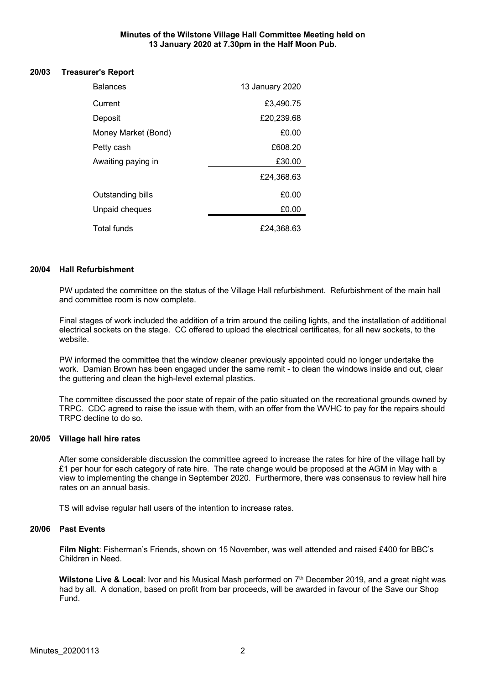#### **Minutes of the Wilstone Village Hall Committee Meeting held on 13 January 2020 at 7.30pm in the Half Moon Pub.**

#### **20/03 Treasurer's Report**

| <b>Balances</b>     | 13 January 2020 |
|---------------------|-----------------|
| Current             | £3,490.75       |
| Deposit             | £20,239.68      |
| Money Market (Bond) | £0.00           |
| Petty cash          | £608.20         |
| Awaiting paying in  | £30.00          |
|                     | £24,368.63      |
| Outstanding bills   | £0.00           |
| Unpaid cheques      | £0.00           |
| Total funds         | £24.368.63      |

# **20/04 Hall Refurbishment**

PW updated the committee on the status of the Village Hall refurbishment. Refurbishment of the main hall and committee room is now complete.

Final stages of work included the addition of a trim around the ceiling lights, and the installation of additional electrical sockets on the stage. CC offered to upload the electrical certificates, for all new sockets, to the website.

PW informed the committee that the window cleaner previously appointed could no longer undertake the work. Damian Brown has been engaged under the same remit - to clean the windows inside and out, clear the guttering and clean the high-level external plastics.

The committee discussed the poor state of repair of the patio situated on the recreational grounds owned by TRPC. CDC agreed to raise the issue with them, with an offer from the WVHC to pay for the repairs should TRPC decline to do so.

#### **20/05 Village hall hire rates**

After some considerable discussion the committee agreed to increase the rates for hire of the village hall by £1 per hour for each category of rate hire. The rate change would be proposed at the AGM in May with a view to implementing the change in September 2020. Furthermore, there was consensus to review hall hire rates on an annual basis.

TS will advise regular hall users of the intention to increase rates.

#### **20/06 Past Events**

**Film Night**: Fisherman's Friends, shown on 15 November, was well attended and raised £400 for BBC's Children in Need.

Wilstone Live & Local: Ivor and his Musical Mash performed on 7<sup>th</sup> December 2019, and a great night was had by all. A donation, based on profit from bar proceeds, will be awarded in favour of the Save our Shop Fund.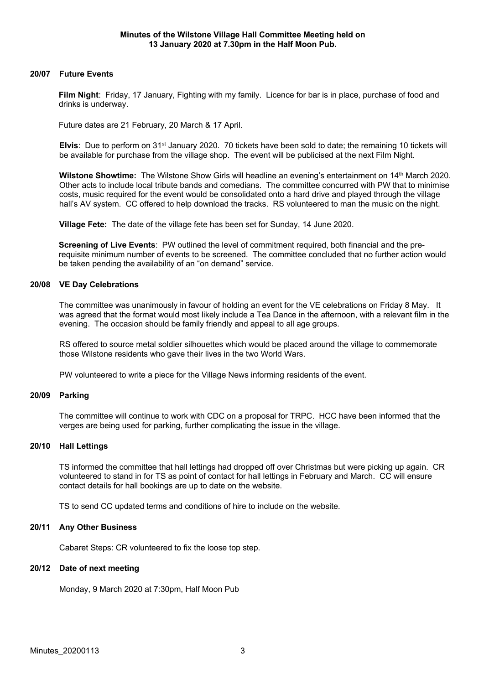## **20/07 Future Events**

**Film Night**: Friday, 17 January, Fighting with my family. Licence for bar is in place, purchase of food and drinks is underway.

Future dates are 21 February, 20 March & 17 April.

**Elvis**: Due to perform on 31<sup>st</sup> January 2020. 70 tickets have been sold to date; the remaining 10 tickets will be available for purchase from the village shop. The event will be publicised at the next Film Night.

**Wilstone Showtime:** The Wilstone Show Girls will headline an evening's entertainment on 14<sup>th</sup> March 2020. Other acts to include local tribute bands and comedians. The committee concurred with PW that to minimise costs, music required for the event would be consolidated onto a hard drive and played through the village hall's AV system. CC offered to help download the tracks. RS volunteered to man the music on the night.

**Village Fete:** The date of the village fete has been set for Sunday, 14 June 2020.

**Screening of Live Events**: PW outlined the level of commitment required, both financial and the prerequisite minimum number of events to be screened. The committee concluded that no further action would be taken pending the availability of an "on demand" service.

#### **20/08 VE Day Celebrations**

The committee was unanimously in favour of holding an event for the VE celebrations on Friday 8 May. It was agreed that the format would most likely include a Tea Dance in the afternoon, with a relevant film in the evening. The occasion should be family friendly and appeal to all age groups.

RS offered to source metal soldier silhouettes which would be placed around the village to commemorate those Wilstone residents who gave their lives in the two World Wars.

PW volunteered to write a piece for the Village News informing residents of the event.

# **20/09 Parking**

The committee will continue to work with CDC on a proposal for TRPC. HCC have been informed that the verges are being used for parking, further complicating the issue in the village.

#### **20/10 Hall Lettings**

TS informed the committee that hall lettings had dropped off over Christmas but were picking up again. CR volunteered to stand in for TS as point of contact for hall lettings in February and March. CC will ensure contact details for hall bookings are up to date on the website.

TS to send CC updated terms and conditions of hire to include on the website.

#### **20/11 Any Other Business**

Cabaret Steps: CR volunteered to fix the loose top step.

#### **20/12 Date of next meeting**

Monday, 9 March 2020 at 7:30pm, Half Moon Pub